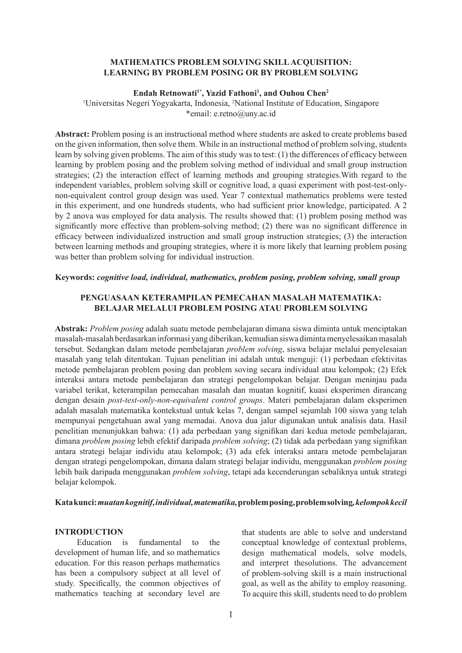# **MATHEMATICS PROBLEM SOLVING SKILL ACQUISITION: LEARNING BY PROBLEM POSING OR BY PROBLEM SOLVING**

#### Endah Retnowati<sup>1\*</sup>, Yazid Fathoni<sup>1</sup>, and Ouhou Chen<sup>2</sup>

<sup>1</sup>Universitas Negeri Yogyakarta, Indonesia, <sup>2</sup>National Institute of Education, Singapore \*email: e.retno@uny.ac.id

**Abstract:** Problem posing is an instructional method where students are asked to create problems based on the given information, then solve them. While in an instructional method of problem solving, students learn by solving given problems. The aim of this study was to test: (1) the differences of efficacy between learning by problem posing and the problem solving method of individual and small group instruction strategies; (2) the interaction effect of learning methods and grouping strategies.With regard to the independent variables, problem solving skill or cognitive load, a quasi experiment with post-test-onlynon-equivalent control group design was used. Year 7 contextual mathematics problems were tested in this experiment, and one hundreds students, who had sufficient prior knowledge, participated. A 2 by 2 anova was employed for data analysis. The results showed that: (1) problem posing method was significantly more effective than problem-solving method; (2) there was no significant difference in efficacy between individualized instruction and small group instruction strategies; (3) the interaction between learning methods and grouping strategies, where it is more likely that learning problem posing was better than problem solving for individual instruction.

## **Keywords:** *cognitive load, individual, mathematics, problem posing, problem solving, small group*

# **PENGUASAAN KETERAMPILAN PEMECAHAN MASALAH MATEMATIKA: BELAJAR MELALUI PROBLEM POSING ATAU PROBLEM SOLVING**

**Abstrak:** *Problem posing* adalah suatu metode pembelajaran dimana siswa diminta untuk menciptakan masalah-masalah berdasarkan informasi yang diberikan, kemudian siswa diminta menyelesaikan masalah tersebut. Sedangkan dalam metode pembelajaran *problem solving*, siswa belajar melalui penyelesaian masalah yang telah ditentukan. Tujuan penelitian ini adalah untuk menguji: (1) perbedaan efektivitas metode pembelajaran problem posing dan problem soving secara individual atau kelompok; (2) Efek interaksi antara metode pembelajaran dan strategi pengelompokan belajar. Dengan meninjau pada variabel terikat, keterampilan pemecahan masalah dan muatan kognitif, kuasi eksperimen dirancang dengan desain *post-test-only-non-equivalent control groups*. Materi pembelajaran dalam eksperimen adalah masalah matematika kontekstual untuk kelas 7, dengan sampel sejumlah 100 siswa yang telah mempunyai pengetahuan awal yang memadai. Anova dua jalur digunakan untuk analisis data. Hasil penelitian menunjukkan bahwa: (1) ada perbedaan yang signifikan dari kedua metode pembelajaran, dimana *problem posing* lebih efektif daripada *problem solving*; (2) tidak ada perbedaan yang signifikan antara strategi belajar individu atau kelompok; (3) ada efek interaksi antara metode pembelajaran dengan strategi pengelompokan, dimana dalam strategi belajar individu, menggunakan *problem posing* lebih baik daripada menggunakan *problem solving*, tetapi ada kecenderungan sebaliknya untuk strategi belajar kelompok.

### **Kata kunci:** *muatan kognitif, individual, matematika,* **problem posing, problem solving***, kelompok kecil*

# **INTRODUCTION**

Education is fundamental to the development of human life, and so mathematics education. For this reason perhaps mathematics has been a compulsory subject at all level of study. Specifically, the common objectives of mathematics teaching at secondary level are that students are able to solve and understand conceptual knowledge of contextual problems, design mathematical models, solve models, and interpret thesolutions. The advancement of problem-solving skill is a main instructional goal, as well as the ability to employ reasoning. To acquire this skill, students need to do problem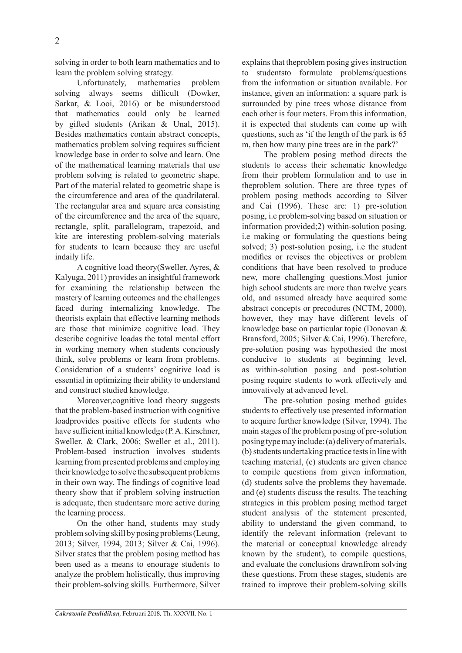solving in order to both learn mathematics and to learn the problem solving strategy.

Unfortunately, mathematics problem solving always seems difficult (Dowker, Sarkar, & Looi, 2016) or be misunderstood that mathematics could only be learned by gifted students (Arikan & Unal, 2015). Besides mathematics contain abstract concepts, mathematics problem solving requires sufficient knowledge base in order to solve and learn. One of the mathematical learning materials that use problem solving is related to geometric shape. Part of the material related to geometric shape is the circumference and area of the quadrilateral. The rectangular area and square area consisting of the circumference and the area of the square, rectangle, split, parallelogram, trapezoid, and kite are interesting problem-solving materials for students to learn because they are useful indaily life.

A cognitive load theory(Sweller, Ayres, & Kalyuga, 2011) provides an insightful framework for examining the relationship between the mastery of learning outcomes and the challenges faced during internalizing knowledge. The theorists explain that effective learning methods are those that minimize cognitive load. They describe cognitive loadas the total mental effort in working memory when students conciously think, solve problems or learn from problems. Consideration of a students' cognitive load is essential in optimizing their ability to understand and construct studied knowledge.

Moreover,cognitive load theory suggests that the problem-based instruction with cognitive loadprovides positive effects for students who have sufficient initial knowledge (P. A. Kirschner, Sweller, & Clark, 2006; Sweller et al., 2011). Problem-based instruction involves students learning from presented problems and employing their knowledge to solve the subsequent problems in their own way. The findings of cognitive load theory show that if problem solving instruction is adequate, then studentsare more active during the learning process.

On the other hand, students may study problem solving skill by posing problems (Leung, 2013; Silver, 1994, 2013; Silver & Cai, 1996). Silver states that the problem posing method has been used as a means to enourage students to analyze the problem holistically, thus improving their problem-solving skills. Furthermore, Silver explains that theproblem posing gives instruction to studentsto formulate problems/questions from the information or situation available. For instance, given an information: a square park is surrounded by pine trees whose distance from each other is four meters. From this information, it is expected that students can come up with questions, such as 'if the length of the park is 65 m, then how many pine trees are in the park?'

The problem posing method directs the students to access their schematic knowledge from their problem formulation and to use in theproblem solution. There are three types of problem posing methods according to Silver and Cai (1996). These are: 1) pre-solution posing, i.e problem-solving based on situation or information provided;2) within-solution posing, i.e making or formulating the questions being solved; 3) post-solution posing, i.e the student modifies or revises the objectives or problem conditions that have been resolved to produce new, more challenging questions.Most junior high school students are more than twelve years old, and assumed already have acquired some abstract concepts or precodures (NCTM, 2000), however, they may have different levels of knowledge base on particular topic (Donovan & Bransford, 2005; Silver & Cai, 1996). Therefore, pre-solution posing was hypothesied the most conducive to students at beginning level, as within-solution posing and post-solution posing require students to work effectively and innovatively at advanced level.

The pre-solution posing method guides students to effectively use presented information to acquire further knowledge (Silver, 1994). The main stages of the problem posing of pre-solution posing type may include: (a) delivery of materials, (b) students undertaking practice tests in line with teaching material, (c) students are given chance to compile questions from given information, (d) students solve the problems they havemade, and (e) students discuss the results. The teaching strategies in this problem posing method target student analysis of the statement presented, ability to understand the given command, to identify the relevant information (relevant to the material or conceptual knowledge already known by the student), to compile questions, and evaluate the conclusions drawnfrom solving these questions. From these stages, students are trained to improve their problem-solving skills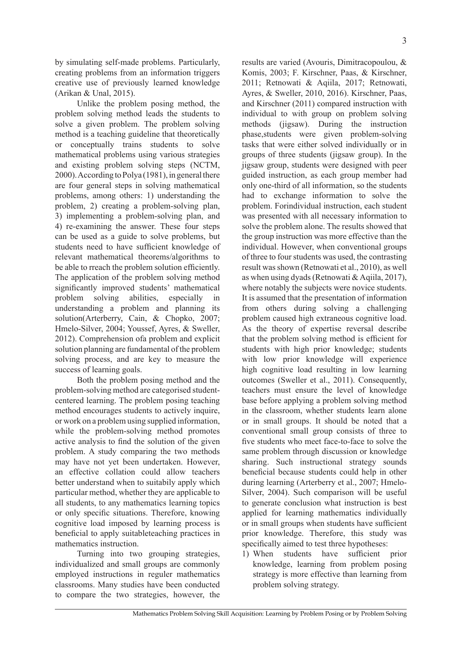by simulating self-made problems. Particularly, creating problems from an information triggers creative use of previously learned knowledge (Arikan & Unal, 2015).

Unlike the problem posing method, the problem solving method leads the students to solve a given problem. The problem solving method is a teaching guideline that theoretically or conceptually trains students to solve mathematical problems using various strategies and existing problem solving steps (NCTM, 2000). According to Polya (1981), in general there are four general steps in solving mathematical problems, among others: 1) understanding the problem, 2) creating a problem-solving plan, 3) implementing a problem-solving plan, and 4) re-examining the answer. These four steps can be used as a guide to solve problems, but students need to have sufficient knowledge of relevant mathematical theorems/algorithms to be able to rreach the problem solution efficiently. The application of the problem solving method significantly improved students' mathematical problem solving abilities, especially in understanding a problem and planning its solution(Arterberry, Cain, & Chopko, 2007; Hmelo-Silver, 2004; Youssef, Ayres, & Sweller, 2012). Comprehension ofa problem and explicit solution planning are fundamental of the problem solving process, and are key to measure the success of learning goals.

Both the problem posing method and the problem-solving method are categorised studentcentered learning. The problem posing teaching method encourages students to actively inquire, or work on a problem using supplied information, while the problem-solving method promotes active analysis to find the solution of the given problem. A study comparing the two methods may have not yet been undertaken. However, an effective collation could allow teachers better understand when to suitabily apply which particular method, whether they are applicable to all students, to any mathematics learning topics or only specific situations. Therefore, knowing cognitive load imposed by learning process is beneficial to apply suitableteaching practices in mathematics instruction.

Turning into two grouping strategies, individualized and small groups are commonly employed instructions in reguler mathematics classrooms. Many studies have been conducted to compare the two strategies, however, the results are varied (Avouris, Dimitracopoulou, & Komis, 2003; F. Kirschner, Paas, & Kirschner, 2011; Retnowati & Aqiila, 2017; Retnowati, Ayres, & Sweller, 2010, 2016). Kirschner, Paas, and Kirschner (2011) compared instruction with individual to with group on problem solving methods (jigsaw). During the instruction phase,students were given problem-solving tasks that were either solved individually or in groups of three students (jigsaw group). In the jigsaw group, students were designed with peer guided instruction, as each group member had only one-third of all information, so the students had to exchange information to solve the problem. Forindividual instruction, each student was presented with all necessary information to solve the problem alone. The results showed that the group instruction was more effective than the individual. However, when conventional groups of three to four students was used, the contrasting result was shown (Retnowati et al., 2010), as well as when using dyads (Retnowati & Aqiila, 2017), where notably the subjects were novice students. It is assumed that the presentation of information from others during solving a challenging problem caused high extraneous cognitive load. As the theory of expertise reversal describe that the problem solving method is efficient for students with high prior knowledge; students with low prior knowledge will experience high cognitive load resulting in low learning outcomes (Sweller et al., 2011). Consequently, teachers must ensure the level of knowledge base before applying a problem solving method in the classroom, whether students learn alone or in small groups. It should be noted that a conventional small group consists of three to five students who meet face-to-face to solve the same problem through discussion or knowledge sharing. Such instructional strategy sounds beneficial because students could help in other during learning (Arterberry et al., 2007; Hmelo-Silver, 2004). Such comparison will be useful to generate conclusion what instruction is best applied for learning mathematics individually or in small groups when students have sufficient prior knowledge. Therefore, this study was specifically aimed to test three hypotheses:

1) When students have sufficient prior knowledge, learning from problem posing strategy is more effective than learning from problem solving strategy.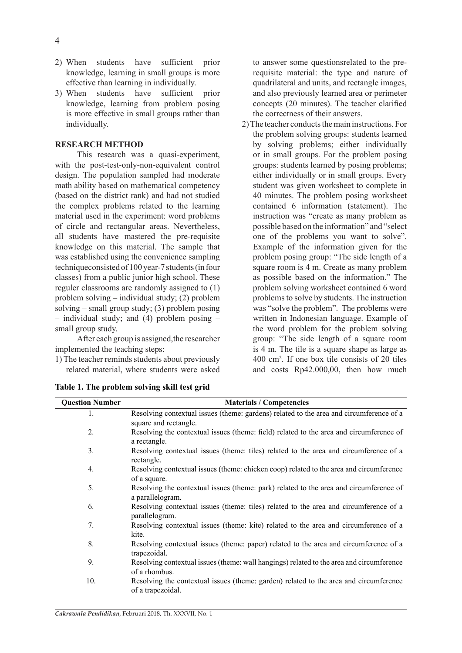- 2) When students have sufficient prior knowledge, learning in small groups is more effective than learning in individually.
- 3) When students have sufficient prior knowledge, learning from problem posing is more effective in small groups rather than individually.

### **RESEARCH METHOD**

This research was a quasi-experiment, with the post-test-only-non-equivalent control design. The population sampled had moderate math ability based on mathematical competency (based on the district rank) and had not studied the complex problems related to the learning material used in the experiment: word problems of circle and rectangular areas. Nevertheless, all students have mastered the pre-requisite knowledge on this material. The sample that was established using the convenience sampling techniqueconsisted of 100 year-7 students (in four classes) from a public junior high school. These reguler classrooms are randomly assigned to (1) problem solving – individual study; (2) problem solving – small group study; (3) problem posing – individual study; and (4) problem posing – small group study.

After each group is assigned,the researcher implemented the teaching steps:

1) The teacher reminds students about previously related material, where students were asked to answer some questionsrelated to the prerequisite material: the type and nature of quadrilateral and units, and rectangle images, and also previously learned area or perimeter concepts (20 minutes). The teacher clarified the correctness of their answers.

2) The teacher conducts the main instructions. For the problem solving groups: students learned by solving problems; either individually or in small groups. For the problem posing groups: students learned by posing problems; either individually or in small groups. Every student was given worksheet to complete in 40 minutes. The problem posing worksheet contained 6 information (statement). The instruction was "create as many problem as possible based on the information" and "select one of the problems you want to solve". Example of the information given for the problem posing group: "The side length of a square room is 4 m. Create as many problem as possible based on the information." The problem solving worksheet contained 6 word problems to solve by students. The instruction was "solve the problem". The problems were written in Indonesian language. Example of the word problem for the problem solving group: "The side length of a square room is 4 m. The tile is a square shape as large as 400 cm2 . If one box tile consists of 20 tiles and costs Rp42.000,00, then how much

| <b>Question Number</b> | <b>Materials / Competencies</b>                                                                                  |  |
|------------------------|------------------------------------------------------------------------------------------------------------------|--|
| $\mathbf{1}$ .         | Resolving contextual issues (theme: gardens) related to the area and circumference of a<br>square and rectangle. |  |
| 2.                     | Resolving the contextual issues (theme: field) related to the area and circumference of<br>a rectangle.          |  |
| 3.                     | Resolving contextual issues (theme: tiles) related to the area and circumference of a<br>rectangle.              |  |
| 4.                     | Resolving contextual issues (theme: chicken coop) related to the area and circumference<br>of a square.          |  |
| 5.                     | Resolving the contextual issues (theme: park) related to the area and circumference of<br>a parallelogram.       |  |
| 6.                     | Resolving contextual issues (theme: tiles) related to the area and circumference of a<br>parallelogram.          |  |
| 7.                     | Resolving contextual issues (theme: kite) related to the area and circumference of a<br>kite.                    |  |
| 8.                     | Resolving contextual issues (theme: paper) related to the area and circumference of a<br>trapezoidal.            |  |
| 9.                     | Resolving contextual issues (theme: wall hangings) related to the area and circumference<br>of a rhombus.        |  |
| 10.                    | Resolving the contextual issues (theme: garden) related to the area and circumference<br>of a trapezoidal.       |  |

**Table 1. The problem solving skill test grid**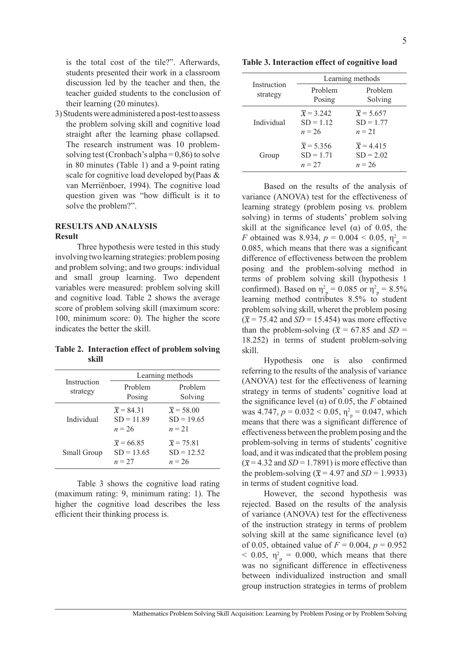is the total cost of the tile?". Afterwards, students presented their work in a classroom discussion led by the teacher and then, the teacher guided students to the conclusion of their learning (20 minutes).

3) Students were administered a post-test to assess the problem solving skill and cognitive load straight after the learning phase collapsed. The research instrument was 10 problemsolving test (Cronbach's alpha =  $0,86$ ) to solve in 80 minutes (Table 1) and a 9-point rating scale for cognitive load developed by(Paas & van Merriënboer, 1994). The cognitive load question given was "how difficult is it to solve the problem?".

# **RESULTS AND ANALYSIS Result**

Three hypothesis were tested in this study involving two learning strategies: problem posing and problem solving; and two groups: individual and small group learning. Two dependent variables were measured: problem solving skill and cognitive load. Table 2 shows the average score of problem solving skill (maximum score: 100, minimum score: 0). The higher the score indicates the better the skill.

**Table 2. Interaction effect of problem solving skill**

|                         | Learning methods                                   |                                                    |  |
|-------------------------|----------------------------------------------------|----------------------------------------------------|--|
| Instruction<br>strategy | Problem<br>Posing                                  | Problem<br>Solving                                 |  |
| Individual              | $\overline{x}$ = 84.31<br>$SD = 11.89$<br>$n = 26$ | $\overline{x}$ = 58.00<br>$SD = 19.65$<br>$n = 21$ |  |
| Small Group             | $\bar{x}$ = 66.85<br>$SD = 13.65$<br>$n = 27$      | $\overline{x}$ = 75.81<br>$SD = 12.52$<br>$n = 26$ |  |

Table 3 shows the cognitive load rating (maximum rating: 9, minimum rating: 1). The higher the cognitive load describes the less efficient their thinking process is.

**Table 3. Interaction effect of cognitive load**

|                         | Learning methods                                  |                                                   |  |
|-------------------------|---------------------------------------------------|---------------------------------------------------|--|
| Instruction<br>strategy | Problem<br>Posing                                 | Problem<br>Solving                                |  |
| Individual              | $\overline{x}$ = 3.242<br>$SD = 1.12$<br>$n = 26$ | $\overline{x}$ = 5.657<br>$SD = 1.77$<br>$n = 21$ |  |
| Group                   | $\overline{x}$ = 5.356<br>$SD = 1.71$<br>$n = 27$ | $\overline{x}$ = 4.415<br>$SD = 2.02$<br>$n = 26$ |  |

Based on the results of the analysis of variance (ANOVA) test for the effectiveness of learning strategy (problem posing vs. problem solving) in terms of students' problem solving skill at the significance level ( $\alpha$ ) of 0.05, the *F* obtained was 8.934,  $p = 0.004 < 0.05$ ,  $\eta_p^2 =$ 0.085, which means that there was a significant difference of effectiveness between the problem posing and the problem-solving method in terms of problem solving skill (hypothesis 1 confirmed). Based on  $\eta_p^2 = 0.085$  or  $\eta_p^2 = 8.5\%$ learning method contributes 8.5% to student problem solving skill, wheret the problem posing  $(\bar{x} = 75.42$  and *SD* = 15.454) was more effective than the problem-solving ( $\bar{x}$  = 67.85 and *SD* = 18.252) in terms of student problem-solving skill.

Hypothesis one is also confirmed referring to the results of the analysis of variance (ANOVA) test for the effectiveness of learning strategy in terms of students' cognitive load at the significance level ( $α$ ) of 0.05, the *F* obtained was 4.747,  $p = 0.032 < 0.05$ ,  $\eta_p^2 = 0.047$ , which means that there was a significant difference of effectiveness between the problem posing and the problem-solving in terms of students' cognitive load, and it was indicated that the problem posing  $(\bar{x} = 4.32$  and *SD* = 1.7891) is more effective than the problem-solving ( $\bar{x}$  = 4.97 and *SD* = 1.9933) in terms of student cognitive load.

However, the second hypothesis was rejected. Based on the results of the analysis of variance (ANOVA) test for the effectiveness of the instruction strategy in terms of problem solving skill at the same significance level  $(\alpha)$ of 0.05, obtained value of  $F = 0.004$ ,  $p = 0.952$  $<$  0.05,  $\eta_p^2 = 0.000$ , which means that there was no significant difference in effectiveness between individualized instruction and small group instruction strategies in terms of problem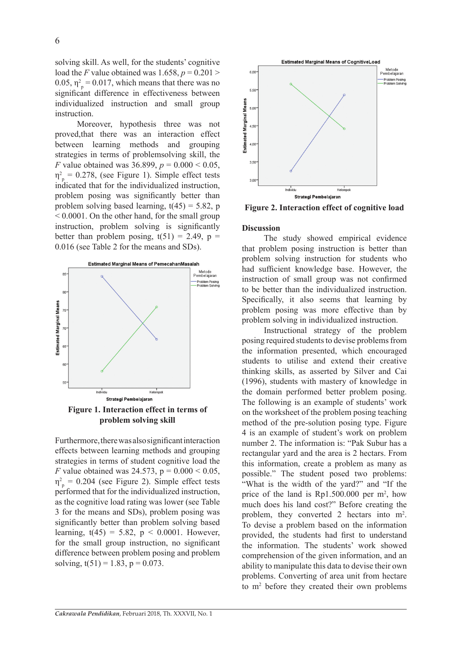6

solving skill. As well, for the students' cognitive load the *F* value obtained was  $1.658$ ,  $p = 0.201$ 0.05,  $\eta_p^2 = 0.017$ , which means that there was no significant difference in effectiveness between individualized instruction and small group instruction.

Moreover, hypothesis three was not proved,that there was an interaction effect between learning methods and grouping strategies in terms of problemsolving skill, the *F* value obtained was 36.899, *p* = 0.000 < 0.05,  $\eta_{\text{p}}^2 = 0.278$ , (see Figure 1). Simple effect tests indicated that for the individualized instruction, problem posing was significantly better than problem solving based learning,  $t(45) = 5.82$ , p  $\leq 0.0001$ . On the other hand, for the small group instruction, problem solving is significantly better than problem posing,  $t(51) = 2.49$ ,  $p =$ 0.016 (see Table 2 for the means and SDs).



**Figure 1. Interaction effect in terms of problem solving skill**

Furthermore, there was also significant interaction effects between learning methods and grouping strategies in terms of student cognitive load the *F* value obtained was 24.573,  $p = 0.000 \le 0.05$ ,  $\eta_{\text{p}}^2 = 0.204$  (see Figure 2). Simple effect tests performed that for the individualized instruction, as the cognitive load rating was lower (see Table 3 for the means and SDs), problem posing was significantly better than problem solving based learning,  $t(45) = 5.82$ ,  $p < 0.0001$ . However, for the small group instruction, no significant difference between problem posing and problem solving,  $t(51) = 1.83$ ,  $p = 0.073$ .



**Figure 2. Interaction effect of cognitive load**

### **Discussion**

The study showed empirical evidence that problem posing instruction is better than problem solving instruction for students who had sufficient knowledge base. However, the instruction of small group was not confirmed to be better than the individualized instruction. Specifically, it also seems that learning by problem posing was more effective than by problem solving in individualized instruction.

Instructional strategy of the problem posing required students to devise problems from the information presented, which encouraged students to utilise and extend their creative thinking skills, as asserted by Silver and Cai (1996), students with mastery of knowledge in the domain performed better problem posing. The following is an example of students' work on the worksheet of the problem posing teaching method of the pre-solution posing type. Figure 4 is an example of student's work on problem number 2. The information is: "Pak Subur has a rectangular yard and the area is 2 hectars. From this information, create a problem as many as possible." The student posed two problems: "What is the width of the yard?" and "If the price of the land is  $Rp1.500.000$  per m<sup>2</sup>, how much does his land cost?" Before creating the problem, they converted 2 hectars into m<sup>2</sup>. To devise a problem based on the information provided, the students had first to understand the information. The students' work showed comprehension of the given information, and an ability to manipulate this data to devise their own problems. Converting of area unit from hectare to m2 before they created their own problems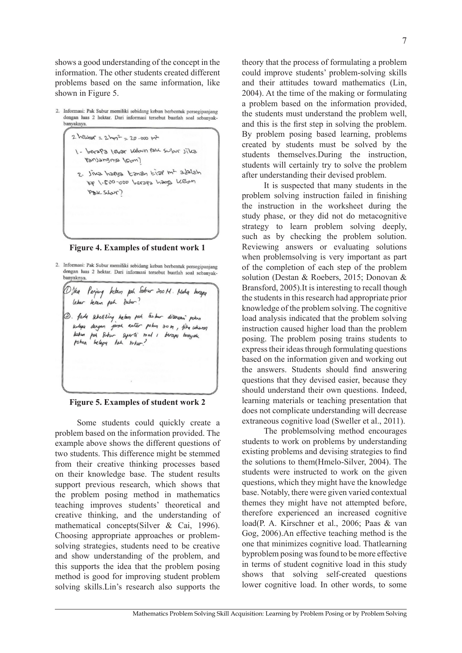shows a good understanding of the concept in the information. The other students created different problems based on the same information, like shown in Figure 5.

2. Informasi: Pak Subur memiliki sebidang kebun berbentuk persegipanjang dengan luas 2 hektar. Dari informasi tersebut buatlah soal sebanyakbanyaknya.

> 1 - berapa lebar kebun pak subur jika ransangnsa (sum)

 $2$  helitor =  $2$  hyp<sup>2</sup> =  $20 - 000$  m<sup>2</sup>

2. Jina harya tanah tiar m<sup>2</sup> adalah Mess Gorey Serses 100-003-1 ger PEK SIGUT)

**Figure 4. Examples of student work 1**

2. Informasi: Pak Subur memiliki sebidang kebun berbentuk persegipanjang dengan luas 2 hektar. Dari informasi tersebut buatlah soal sebanyakbanyaknya.

Dika Panjang kelaun pah Subur 200M. Maha berapa<br>Lebar keran pah dubur? 2. fada schediling kelam pah Subur ditenemi pokon where dengan jarah antar poken 20 m, fika ukuran kebun pah Subur separti soal 1 berapa banyak pohen belapa Pah rubur?

**Figure 5. Examples of student work 2**

Some students could quickly create a problem based on the information provided. The example above shows the different questions of two students. This difference might be stemmed from their creative thinking processes based on their knowledge base. The student results support previous research, which shows that the problem posing method in mathematics teaching improves students' theoretical and creative thinking, and the understanding of mathematical concepts(Silver & Cai, 1996). Choosing appropriate approaches or problemsolving strategies, students need to be creative and show understanding of the problem, and this supports the idea that the problem posing method is good for improving student problem solving skills.Lin's research also supports the theory that the process of formulating a problem could improve students' problem-solving skills and their attitudes toward mathematics (Lin, 2004). At the time of the making or formulating a problem based on the information provided, the students must understand the problem well, and this is the first step in solving the problem. By problem posing based learning, problems created by students must be solved by the students themselves.During the instruction, students will certainly try to solve the problem after understanding their devised problem.

It is suspected that many students in the problem solving instruction failed in finishing the instruction in the worksheet during the study phase, or they did not do metacognitive strategy to learn problem solving deeply, such as by checking the problem solution. Reviewing answers or evaluating solutions when problemsolving is very important as part of the completion of each step of the problem solution (Destan & Roebers, 2015; Donovan & Bransford, 2005).It is interesting to recall though the students in this research had appropriate prior knowledge of the problem solving. The cognitive load analysis indicated that the problem solving instruction caused higher load than the problem posing. The problem posing trains students to express their ideas through formulating questions based on the information given and working out the answers. Students should find answering questions that they devised easier, because they should understand their own questions. Indeed, learning materials or teaching presentation that does not complicate understanding will decrease extraneous cognitive load (Sweller et al., 2011).

The problemsolving method encourages students to work on problems by understanding existing problems and devising strategies to find the solutions to them(Hmelo-Silver, 2004). The students were instructed to work on the given questions, which they might have the knowledge base. Notably, there were given varied contextual themes they might have not attempted before, therefore experienced an increased cognitive load(P. A. Kirschner et al., 2006; Paas & van Gog, 2006).An effective teaching method is the one that minimizes cognitive load. Thatlearning byproblem posing was found to be more effective in terms of student cognitive load in this study shows that solving self-created questions lower cognitive load. In other words, to some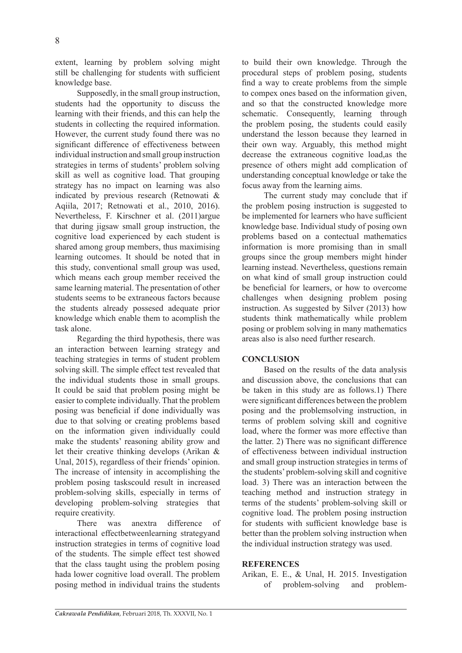extent, learning by problem solving might still be challenging for students with sufficient knowledge base.

Supposedly, in the small group instruction, students had the opportunity to discuss the learning with their friends, and this can help the students in collecting the required information. However, the current study found there was no significant difference of effectiveness between individual instruction and small group instruction strategies in terms of students' problem solving skill as well as cognitive load. That grouping strategy has no impact on learning was also indicated by previous research (Retnowati & Aqiila, 2017; Retnowati et al., 2010, 2016). Nevertheless, F. Kirschner et al. (2011)argue that during jigsaw small group instruction, the cognitive load experienced by each student is shared among group members, thus maximising learning outcomes. It should be noted that in this study, conventional small group was used, which means each group member received the same learning material. The presentation of other students seems to be extraneous factors because the students already possesed adequate prior knowledge which enable them to acomplish the task alone.

Regarding the third hypothesis, there was an interaction between learning strategy and teaching strategies in terms of student problem solving skill. The simple effect test revealed that the individual students those in small groups. It could be said that problem posing might be easier to complete individually. That the problem posing was beneficial if done individually was due to that solving or creating problems based on the information given individually could make the students' reasoning ability grow and let their creative thinking develops (Arikan & Unal, 2015), regardless of their friends' opinion. The increase of intensity in accomplishing the problem posing taskscould result in increased problem-solving skills, especially in terms of developing problem-solving strategies that require creativity.

There was anextra difference of interactional effectbetweenlearning strategyand instruction strategies in terms of cognitive load of the students. The simple effect test showed that the class taught using the problem posing hada lower cognitive load overall. The problem posing method in individual trains the students to build their own knowledge. Through the procedural steps of problem posing, students find a way to create problems from the simple to compex ones based on the information given, and so that the constructed knowledge more schematic. Consequently, learning through the problem posing, the students could easily understand the lesson because they learned in their own way. Arguably, this method might decrease the extraneous cognitive load,as the presence of others might add complication of understanding conceptual knowledge or take the focus away from the learning aims.

The current study may conclude that if the problem posing instruction is suggested to be implemented for learners who have sufficient knowledge base. Individual study of posing own problems based on a contectual mathematics information is more promising than in small groups since the group members might hinder learning instead. Nevertheless, questions remain on what kind of small group instruction could be beneficial for learners, or how to overcome challenges when designing problem posing instruction. As suggested by Silver (2013) how students think mathematically while problem posing or problem solving in many mathematics areas also is also need further research.

# **CONCLUSION**

Based on the results of the data analysis and discussion above, the conclusions that can be taken in this study are as follows.1) There were significant differences between the problem posing and the problemsolving instruction, in terms of problem solving skill and cognitive load, where the former was more effective than the latter. 2) There was no significant difference of effectiveness between individual instruction and small group instruction strategies in terms of the students' problem-solving skill and cognitive load. 3) There was an interaction between the teaching method and instruction strategy in terms of the students' problem-solving skill or cognitive load. The problem posing instruction for students with sufficient knowledge base is better than the problem solving instruction when the individual instruction strategy was used.

# **REFERENCES**

Arikan, E. E., & Unal, H. 2015. Investigation of problem-solving and problem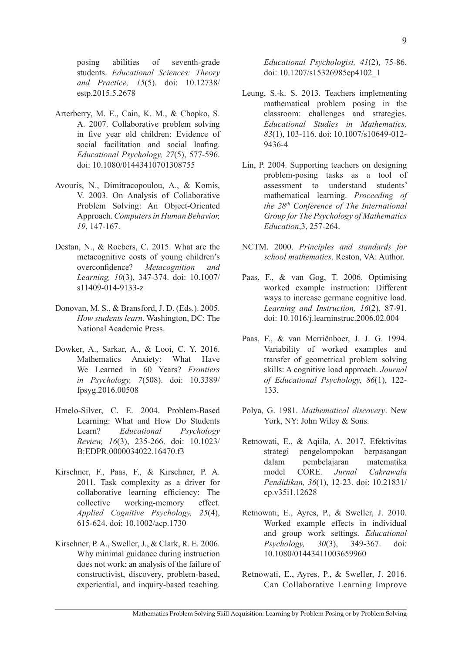posing abilities of seventh-grade students. *Educational Sciences: Theory and Practice, 15*(5). doi: 10.12738/ estp.2015.5.2678

- Arterberry, M. E., Cain, K. M., & Chopko, S. A. 2007. Collaborative problem solving in five year old children: Evidence of social facilitation and social loafing. *Educational Psychology, 27*(5), 577-596. doi: 10.1080/01443410701308755
- Avouris, N., Dimitracopoulou, A., & Komis, V. 2003. On Analysis of Collaborative Problem Solving: An Object-Oriented Approach. *Computers in Human Behavior, 19*, 147-167.
- Destan, N., & Roebers, C. 2015. What are the metacognitive costs of young children's overconfidence? *Metacognition and Learning, 10*(3), 347-374. doi: 10.1007/ s11409-014-9133-z
- Donovan, M. S., & Bransford, J. D. (Eds.). 2005. *How students learn*. Washington, DC: The National Academic Press.
- Dowker, A., Sarkar, A., & Looi, C. Y. 2016. Mathematics Anxiety: What Have We Learned in 60 Years? *Frontiers in Psychology, 7*(508). doi: 10.3389/ fpsyg.2016.00508
- Hmelo-Silver, C. E. 2004. Problem-Based Learning: What and How Do Students Learn? *Educational Psychology Review, 16*(3), 235-266. doi: 10.1023/ B:EDPR.0000034022.16470.f3
- Kirschner, F., Paas, F., & Kirschner, P. A. 2011. Task complexity as a driver for collaborative learning efficiency: The collective working-memory effect. *Applied Cognitive Psychology, 25*(4), 615-624. doi: 10.1002/acp.1730
- Kirschner, P. A., Sweller, J., & Clark, R. E. 2006. Why minimal guidance during instruction does not work: an analysis of the failure of constructivist, discovery, problem-based, experiential, and inquiry-based teaching.

*Educational Psychologist, 41*(2), 75-86. doi: 10.1207/s15326985ep4102\_1

- Leung, S.-k. S. 2013. Teachers implementing mathematical problem posing in the classroom: challenges and strategies. *Educational Studies in Mathematics, 83*(1), 103-116. doi: 10.1007/s10649-012- 9436-4
- Lin, P. 2004. Supporting teachers on designing problem-posing tasks as a tool of assessment to understand students' mathematical learning. *Proceeding of the 28th Conference of The International Group for The Psychology of Mathematics Education*,3, 257-264.
- NCTM. 2000. *Principles and standards for school mathematics*. Reston, VA: Author.
- Paas, F., & van Gog, T. 2006. Optimising worked example instruction: Different ways to increase germane cognitive load. *Learning and Instruction, 16*(2), 87-91. doi: 10.1016/j.learninstruc.2006.02.004
- Paas, F., & van Merriënboer, J. J. G. 1994. Variability of worked examples and transfer of geometrical problem solving skills: A cognitive load approach. *Journal of Educational Psychology, 86*(1), 122- 133.
- Polya, G. 1981. *Mathematical discovery*. New York, NY: John Wiley & Sons.
- Retnowati, E., & Aqiila, A. 2017. Efektivitas strategi pengelompokan berpasangan dalam pembelajaran matematika model CORE. *Jurnal Cakrawala Pendidikan, 36*(1), 12-23. doi: 10.21831/ cp.v35i1.12628
- Retnowati, E., Ayres, P., & Sweller, J. 2010. Worked example effects in individual and group work settings. *Educational Psychology, 30*(3), 349-367. doi: 10.1080/01443411003659960
- Retnowati, E., Ayres, P., & Sweller, J. 2016. Can Collaborative Learning Improve